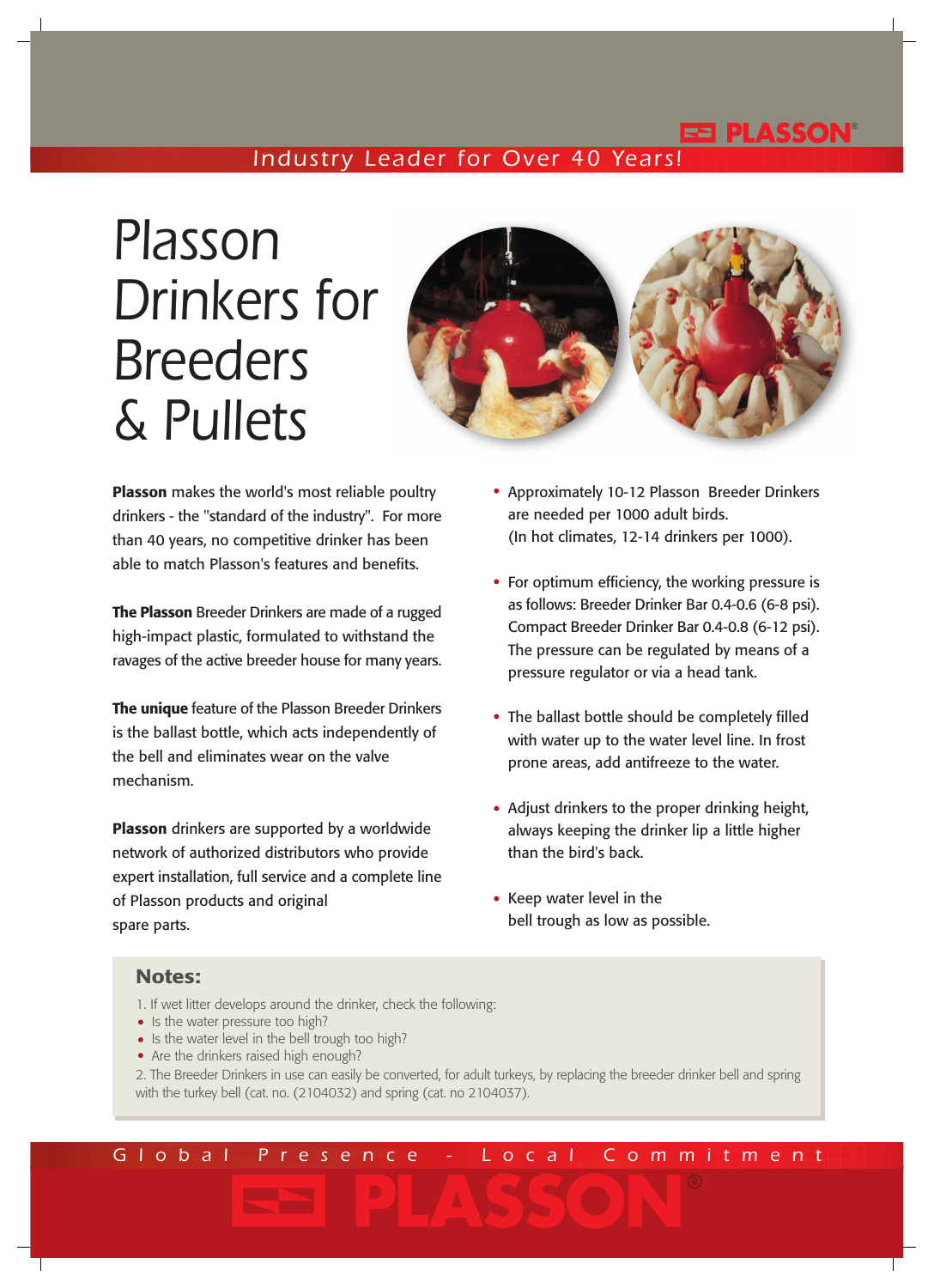## EE PLASSON'

## *Industry Leader for Over 40 Years!*

# *Plasson Drinkers for Breeders & Pullets*



**Plasson** makes the world's most reliable poultry drinkers - the "standard of the industry". For more than 40 years, no competitive drinker has been able to match Plasson's features and benefits.

**The Plasson** Breeder Drinkers are made of a rugged high-impact plastic, formulated to withstand the ravages of the active breeder house for many years.

**The unique** feature of the Plasson Breeder Drinkers is the ballast bottle, which acts independently of the bell and eliminates wear on the valve mechanism.

**Plasson** drinkers are supported by a worldwide network of authorized distributors who provide expert installation, full service and a complete line of Plasson products and original spare parts.

- Approximately 10-12 Plasson Breeder Drinkers are needed per 1000 adult birds. (In hot climates, 12-14 drinkers per 1000).
- For optimum efficiency, the working pressure is as follows: Breeder Drinker Bar 0.4-0.6 (6-8 psi). Compact Breeder Drinker Bar 0.4-0.8 (6-12 psi). The pressure can be regulated by means of a pressure regulator or via a head tank.
- The ballast bottle should be completely filled with water up to the water level line. In frost prone areas, add antifreeze to the water.
- Adjust drinkers to the proper drinking height, always keeping the drinker lip a little higher than the bird's back.
- Keep water level in the bell trough as low as possible.

#### **Notes:**

- 1. If wet litter develops around the drinker, check the following:
- Is the water pressure too high?
- Is the water level in the bell trough too high?
- Are the drinkers raised high enough?
- 2. The Breeder Drinkers in use can easily be converted, for adult turkeys, by replacing the breeder drinker bell and spring with the turkey bell (cat. no. (2104032) and spring (cat. no 2104037).

*Global Presence - Local Commitment*